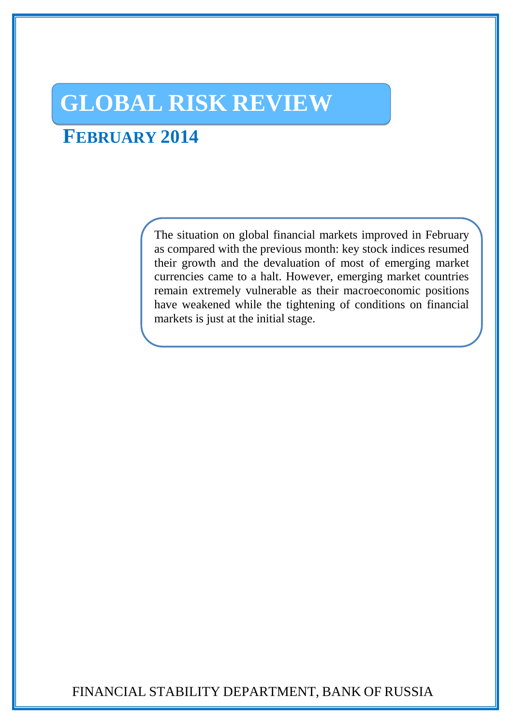# **GLOBAL RISK REVIEW**

## **FEBRUARY 2014**

The situation on global financial markets improved in February as compared with the previous month: key stock indices resumed their growth and the devaluation of most of emerging market currencies came to a halt. However, emerging market countries remain extremely vulnerable as their macroeconomic positions have weakened while the tightening of conditions on financial markets is just at the initial stage.

FINANCIAL STABILITY DEPARTMENT, BANK OF RUSSIA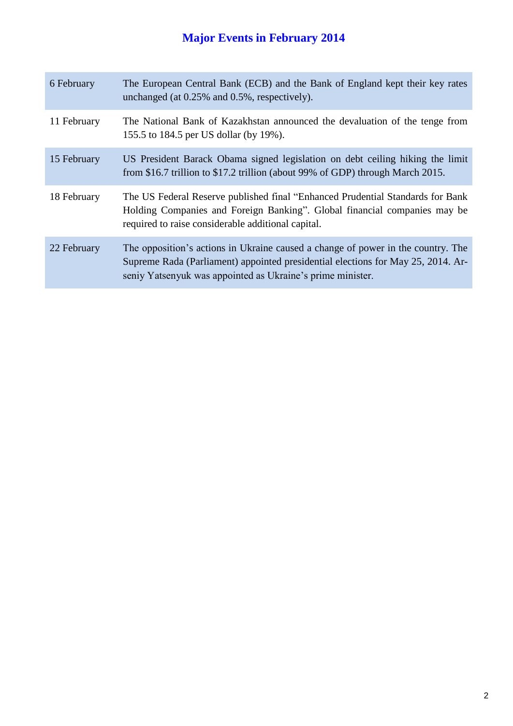## **Major Events in February 2014**

| 6 February  | The European Central Bank (ECB) and the Bank of England kept their key rates<br>unchanged (at 0.25% and 0.5%, respectively).                                                                                                       |
|-------------|------------------------------------------------------------------------------------------------------------------------------------------------------------------------------------------------------------------------------------|
| 11 February | The National Bank of Kazakhstan announced the devaluation of the tenge from<br>155.5 to 184.5 per US dollar (by 19%).                                                                                                              |
| 15 February | US President Barack Obama signed legislation on debt ceiling hiking the limit<br>from \$16.7 trillion to \$17.2 trillion (about 99% of GDP) through March 2015.                                                                    |
| 18 February | The US Federal Reserve published final "Enhanced Prudential Standards for Bank<br>Holding Companies and Foreign Banking". Global financial companies may be<br>required to raise considerable additional capital.                  |
| 22 February | The opposition's actions in Ukraine caused a change of power in the country. The<br>Supreme Rada (Parliament) appointed presidential elections for May 25, 2014. Ar-<br>seniy Yatsenyuk was appointed as Ukraine's prime minister. |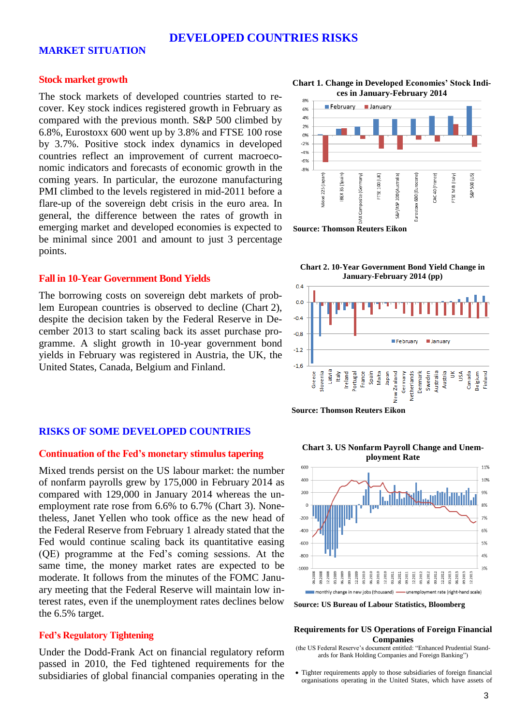## **DEVELOPED COUNTRIES RISKS**

## **MARKET SITUATION**

## **Stock market growth**

The stock markets of developed countries started to recover. Key stock indices registered growth in February as compared with the previous month. S&P 500 climbed by 6.8%, Eurostoxx 600 went up by 3.8% and FTSE 100 rose by 3.7%. Positive stock index dynamics in developed countries reflect an improvement of current macroeconomic indicators and forecasts of economic growth in the coming years. In particular, the eurozone manufacturing PMI climbed to the levels registered in mid-2011 before a flare-up of the sovereign debt crisis in the euro area. In general, the difference between the rates of growth in emerging market and developed economies is expected to be minimal since 2001 and amount to just 3 percentage points.

### **Fall in 10-Year Government Bond Yields**

The borrowing costs on sovereign debt markets of problem European countries is observed to decline (Chart 2), despite the decision taken by the Federal Reserve in December 2013 to start scaling back its asset purchase programme. A slight growth in 10-year government bond yields in February was registered in Austria, the UK, the United States, Canada, Belgium and Finland.

### **RISKS OF SOME DEVELOPED COUNTRIES**

#### **Continuation of the Fed's monetary stimulus tapering**

Mixed trends persist on the US labour market: the number of nonfarm payrolls grew by 175,000 in February 2014 as compared with 129,000 in January 2014 whereas the unemployment rate rose from 6.6% to 6.7% (Chart 3). Nonetheless, Janet Yellen who took office as the new head of the Federal Reserve from February 1 already stated that the Fed would continue scaling back its quantitative easing (QE) programme at the Fed's coming sessions. At the same time, the money market rates are expected to be moderate. It follows from the minutes of the FOMC January meeting that the Federal Reserve will maintain low interest rates, even if the unemployment rates declines below the 6.5% target.

#### **Fed's Regulatory Tightening**

Under the Dodd-Frank Act on financial regulatory reform passed in 2010, the Fed tightened requirements for the subsidiaries of global financial companies operating in the

**Chart 1. Change in Developed Economies' Stock Indices in January-February 2014**



**Chart 2. 10-Year Government Bond Yield Change in January-February 2014 (pp)**



**Source: Thomson Reuters Eikon**

**Chart 3. US Nonfarm Payroll Change and Unem-**



**Source: US Bureau of Labour Statistics, Bloomberg**

#### **Requirements for US Operations of Foreign Financial Companies**

- (the US Federal Reserve's document entitled: "Enhanced Prudential Standards for Bank Holding Companies and Foreign Banking")
- Tighter requirements apply to those subsidiaries of foreign financial organisations operating in the United States, which have assets of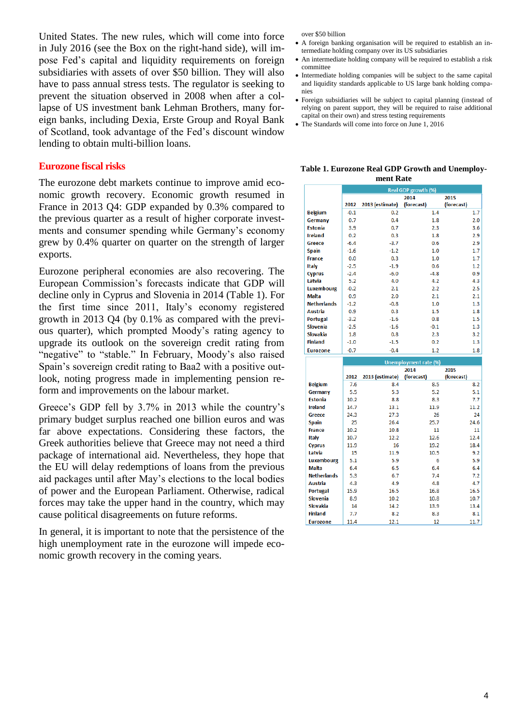United States. The new rules, which will come into force in July 2016 (see the Box on the right-hand side), will impose Fed's capital and liquidity requirements on foreign subsidiaries with assets of over \$50 billion. They will also have to pass annual stress tests. The regulator is seeking to prevent the situation observed in 2008 when after a collapse of US investment bank Lehman Brothers, many foreign banks, including Dexia, Erste Group and Royal Bank of Scotland, took advantage of the Fed's discount window lending to obtain multi-billion loans.

### **Eurozone fiscal risks**

The eurozone debt markets continue to improve amid economic growth recovery. Economic growth resumed in France in 2013 Q4: GDP expanded by 0.3% compared to the previous quarter as a result of higher corporate investments and consumer spending while Germany's economy grew by 0.4% quarter on quarter on the strength of larger exports.

Eurozone peripheral economies are also recovering. The European Commission's forecasts indicate that GDP will decline only in Cyprus and Slovenia in 2014 (Table 1). For the first time since 2011, Italy's economy registered growth in 2013 Q4 (by 0.1% as compared with the previous quarter), which prompted Moody's rating agency to upgrade its outlook on the sovereign credit rating from "negative" to "stable." In February, Moody's also raised Spain's sovereign credit rating to Baa2 with a positive outlook, noting progress made in implementing pension reform and improvements on the labour market.

Greece's GDP fell by 3.7% in 2013 while the country's primary budget surplus reached one billion euros and was far above expectations. Considering these factors, the Greek authorities believe that Greece may not need a third package of international aid. Nevertheless, they hope that the EU will delay redemptions of loans from the previous aid packages until after May's elections to the local bodies of power and the European Parliament. Otherwise, radical forces may take the upper hand in the country, which may cause political disagreements on future reforms.

In general, it is important to note that the persistence of the high unemployment rate in the eurozone will impede economic growth recovery in the coming years.

over \$50 billion

- A foreign banking organisation will be required to establish an intermediate holding company over its US subsidiaries
- An intermediate holding company will be required to establish a risk committee
- Intermediate holding companies will be subject to the same capital and liquidity standards applicable to US large bank holding companies
- Foreign subsidiaries will be subject to capital planning (instead of relying on parent support, they will be required to raise additional capital on their own) and stress testing requirements
- The Standards will come into force on June 1, 2016

**Table 1. Eurozone Real GDP Growth and Unemployment Rate**

|                    | <b>Real GDP growth (%)</b> |                 |                    |                    |  |
|--------------------|----------------------------|-----------------|--------------------|--------------------|--|
|                    | 2012                       | 2013 (estimate) | 2014<br>(forecast) | 2015<br>(forecast) |  |
| <b>Belgium</b>     | $-0.1$                     | 0.2             | 1.4                | 1.7                |  |
| Germany            | 0.7                        | 0.4             | 1.8                | 2.0                |  |
| <b>Estonia</b>     | 3.9                        | 0.7             | 2.3                | 3.6                |  |
| <b>Ireland</b>     | 0.2                        | 0.3             | 1.8                | 2.9                |  |
| Greece             | $-6.4$                     | $-3.7$          | 0.6                | 2.9                |  |
| <b>Spain</b>       | $-1.6$                     | $-1.2$          | 1.0                | 1.7                |  |
| <b>France</b>      | 0.0                        | 0.3             | 1.0                | 1.7                |  |
| <b>Italy</b>       | $-2.5$                     | $-1.9$          | 0.6                | 1.2                |  |
| <b>Cyprus</b>      | $-2.4$                     | $-6.0$          | $-4.8$             | 0.9 <sub>0</sub>   |  |
| Latvia             | 5.2                        | 4.0             | 4.2                | 4.3                |  |
| <b>Luxembourg</b>  | $-0.2$                     | 2.1             | 2.2                | 2.5                |  |
| <b>Malta</b>       | 0.9                        | 2.0             | 2.1                | 2.1                |  |
| <b>Netherlands</b> | $-1.2$                     | $-0.8$          | 1.0                | 1.3                |  |
| Austria            | 0.9                        | 0.3             | 1.5                | 1.8                |  |
| <b>Portugal</b>    | $-3.2$                     | $-1.6$          | 0.8                | 1.5                |  |
| Slovenia           | $-2.5$                     | $-1.6$          | $-0.1$             | 1.3                |  |
| <b>Slovakia</b>    | 1.8                        | 0.8             | 2.3                | 3.2                |  |
| <b>Finland</b>     | $-1.0$                     | $-1.5$          | 0.2                | 1.3                |  |
| <b>Eurozone</b>    | $-0.7$                     | $-0.4$          | 1.2                | 1.8                |  |

|                    | <b>Unemployment rate (%)</b> |                 |            |            |  |
|--------------------|------------------------------|-----------------|------------|------------|--|
|                    |                              | 2014            |            | 2015       |  |
|                    | 2012                         | 2013 (estimate) | (forecast) | (forecast) |  |
| <b>Belgium</b>     | 7.6                          | 8.4             | 8.5        | 8.2        |  |
| Germany            | 5.5                          | 5.3             | 5.2        | 5.1        |  |
| <b>Estonia</b>     | 10.2                         | 8.8             | 8.3        | 7.7        |  |
| <b>Ireland</b>     | 14.7                         | 13.1            | 11.9       | 11.2       |  |
| <b>Greece</b>      | 24.3                         | 27.3            | 26         | 24         |  |
| <b>Spain</b>       | 25                           | 26.4            | 25.7       | 24.6       |  |
| <b>France</b>      | 10.2                         | 10.8            | 11         | 11         |  |
| Italy              | 10.7                         | 12.2            | 12.6       | 12.4       |  |
| <b>Cyprus</b>      | 11.9                         | 16              | 19.2       | 18.4       |  |
| Latvia             | 15                           | 11.9            | 10.5       | 9.2        |  |
| <b>Luxembourg</b>  | 5.1                          | 5.9             | 6          | 5.9        |  |
| <b>Malta</b>       | 6.4                          | 6.5             | 6.4        | 6.4        |  |
| <b>Netherlands</b> | 5.3                          | 6.7             | 7.4        | 7.2        |  |
| <b>Austria</b>     | 4.3                          | 4.9             | 4.8        | 4.7        |  |
| <b>Portugal</b>    | 15.9                         | 16.5            | 16.8       | 16.5       |  |
| <b>Slovenia</b>    | 8.9                          | 10.2            | 10.8       | 10.7       |  |
| <b>Slovakia</b>    | 14                           | 14.2            | 13.9       | 13.4       |  |
| <b>Finland</b>     | 7.7                          | 8.2             | 8.3        | 8.1        |  |
| <b>Eurozone</b>    | 11.4                         | 12.1            | 12         | 11.7       |  |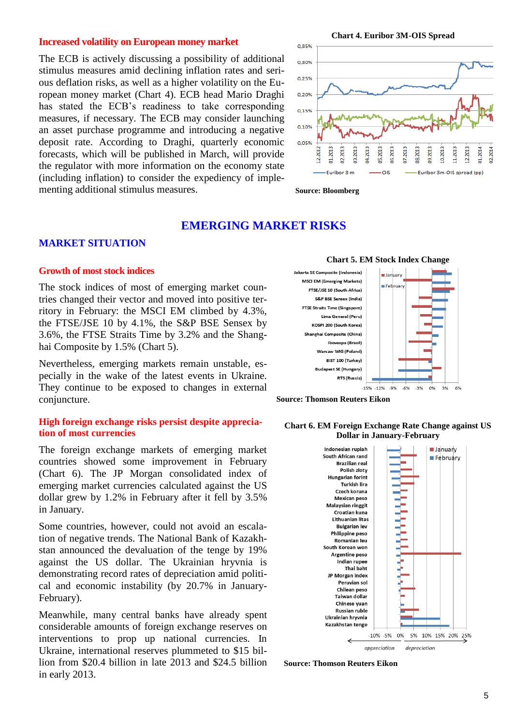### **Increased volatility on European money market**

The ECB is actively discussing a possibility of additional stimulus measures amid declining inflation rates and serious deflation risks, as well as a higher volatility on the European money market (Chart 4). ECB head Mario Draghi has stated the ECB's readiness to take corresponding measures, if necessary. The ECB may consider launching an asset purchase programme and introducing a negative deposit rate. According to Draghi, quarterly economic forecasts, which will be published in March, will provide the regulator with more information on the economy state (including inflation) to consider the expediency of implementing additional stimulus measures.

**Chart 4. Euribor 3M-OIS Spread**





## **EMERGING MARKET RISKS**

## **MARKET SITUATION**

#### **Growth of most stock indices**

The stock indices of most of emerging market countries changed their vector and moved into positive territory in February: the MSCI EM climbed by 4.3%, the FTSE/JSE 10 by 4.1%, the S&P BSE Sensex by 3.6%, the FTSE Straits Time by 3.2% and the Shanghai Composite by 1.5% (Chart 5).

Nevertheless, emerging markets remain unstable, especially in the wake of the latest events in Ukraine. They continue to be exposed to changes in external conjuncture.

## **High foreign exchange risks persist despite appreciation of most currencies**

The foreign exchange markets of emerging market countries showed some improvement in February (Chart 6). The JP Morgan consolidated index of emerging market currencies calculated against the US dollar grew by 1.2% in February after it fell by 3.5% in January.

Some countries, however, could not avoid an escalation of negative trends. The National Bank of Kazakhstan announced the devaluation of the tenge by 19% against the US dollar. The Ukrainian hryvnia is demonstrating record rates of depreciation amid political and economic instability (by 20.7% in January-February).

Meanwhile, many central banks have already spent considerable amounts of foreign exchange reserves on interventions to prop up national currencies. In Ukraine, international reserves plummeted to \$15 billion from \$20.4 billion in late 2013 and \$24.5 billion in early 2013.





#### **Chart 6. EM Foreign Exchange Rate Change against US Dollar in January-February**



**Source: Thomson Reuters Eikon**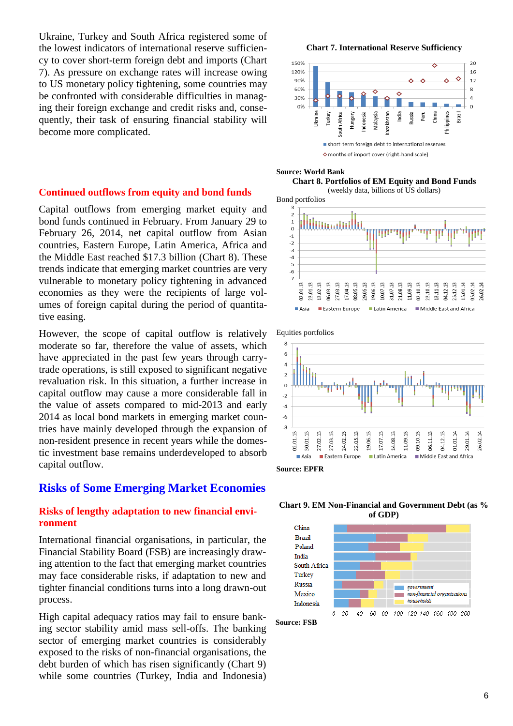Ukraine, Turkey and South Africa registered some of the lowest indicators of international reserve sufficiency to cover short-term foreign debt and imports (Chart 7). As pressure on exchange rates will increase owing to US monetary policy tightening, some countries may be confronted with considerable difficulties in managing their foreign exchange and credit risks and, consequently, their task of ensuring financial stability will become more complicated.

### **Continued outflows from equity and bond funds**

Capital outflows from emerging market equity and bond funds continued in February. From January 29 to February 26, 2014, net capital outflow from Asian countries, Eastern Europe, Latin America, Africa and the Middle East reached \$17.3 billion (Chart 8). These trends indicate that emerging market countries are very vulnerable to monetary policy tightening in advanced economies as they were the recipients of large volumes of foreign capital during the period of quantitative easing.

However, the scope of capital outflow is relatively moderate so far, therefore the value of assets, which have appreciated in the past few years through carrytrade operations, is still exposed to significant negative revaluation risk. In this situation, a further increase in capital outflow may cause a more considerable fall in the value of assets compared to mid-2013 and early 2014 as local bond markets in emerging market countries have mainly developed through the expansion of non-resident presence in recent years while the domestic investment base remains underdeveloped to absorb capital outflow.

## **Risks of Some Emerging Market Economies**

## **Risks of lengthy adaptation to new financial environment**

International financial organisations, in particular, the Financial Stability Board (FSB) are increasingly drawing attention to the fact that emerging market countries may face considerable risks, if adaptation to new and tighter financial conditions turns into a long drawn-out process.

High capital adequacy ratios may fail to ensure banking sector stability amid mass sell-offs. The banking sector of emerging market countries is considerably exposed to the risks of non-financial organisations, the debt burden of which has risen significantly (Chart 9) while some countries (Turkey, India and Indonesia)

**Chart 7. International Reserve Sufficiency** 



#### **Source: World Bank**

**Chart 8. Portfolios of EM Equity and Bond Funds**  (weekly data, billions of US dollars)

Bond portfolios









**Source: FSB**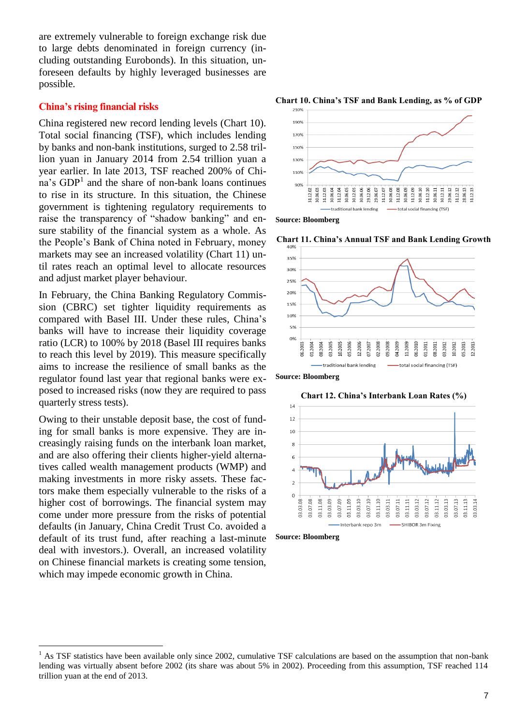are extremely vulnerable to foreign exchange risk due to large debts denominated in foreign currency (including outstanding Eurobonds). In this situation, unforeseen defaults by highly leveraged businesses are possible.

## **China's rising financial risks**

China registered new record lending levels (Chart 10). Total social financing (TSF), which includes lending by banks and non-bank institutions, surged to 2.58 trillion yuan in January 2014 from 2.54 trillion yuan a year earlier. In late 2013, TSF reached 200% of Chi- $\text{a}$ 's GDP<sup>1</sup> and the share of non-bank loans continues to rise in its structure. In this situation, the Chinese government is tightening regulatory requirements to raise the transparency of "shadow banking" and ensure stability of the financial system as a whole. As the People's Bank of China noted in February, money markets may see an increased volatility (Chart 11) until rates reach an optimal level to allocate resources and adjust market player behaviour.

In February, the China Banking Regulatory Commission (CBRC) set tighter liquidity requirements as compared with Basel III. Under these rules, China's banks will have to increase their liquidity coverage ratio (LCR) to 100% by 2018 (Basel III requires banks to reach this level by 2019). This measure specifically aims to increase the resilience of small banks as the regulator found last year that regional banks were exposed to increased risks (now they are required to pass quarterly stress tests).

Owing to their unstable deposit base, the cost of funding for small banks is more expensive. They are increasingly raising funds on the interbank loan market, and are also offering their clients higher-yield alternatives called wealth management products (WMP) and making investments in more risky assets. These factors make them especially vulnerable to the risks of a higher cost of borrowings. The financial system may come under more pressure from the risks of potential defaults (in January, China Credit Trust Co. avoided a default of its trust fund, after reaching a last-minute deal with investors.). Overall, an increased volatility on Chinese financial markets is creating some tension, which may impede economic growth in China.

 $\overline{a}$ 





**Source: Bloomberg**





**Source: Bloomberg**

**Chart 12. China's Interbank Loan Rates (%)**





<sup>1</sup> As TSF statistics have been available only since 2002, cumulative TSF calculations are based on the assumption that non-bank lending was virtually absent before 2002 (its share was about 5% in 2002). Proceeding from this assumption, TSF reached 114 trillion yuan at the end of 2013.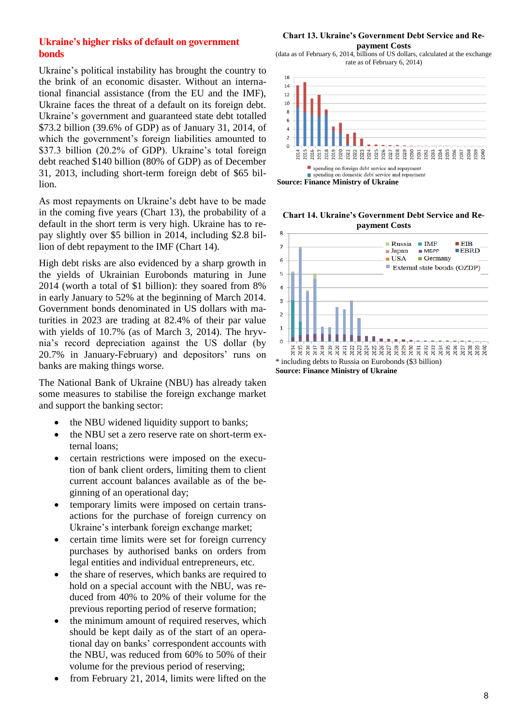## **Ukraine's higher risks of default on government bonds**

Ukraine's political instability has brought the country to the brink of an economic disaster. Without an international financial assistance (from the EU and the IMF), Ukraine faces the threat of a default on its foreign debt. Ukraine's government and guaranteed state debt totalled \$73.2 billion (39.6% of GDP) as of January 31, 2014, of which the government's foreign liabilities amounted to \$37.3 billion (20.2% of GDP). Ukraine's total foreign debt reached \$140 billion (80% of GDP) as of December 31, 2013, including short-term foreign debt of \$65 billion.

As most repayments on Ukraine's debt have to be made in the coming five years (Chart 13), the probability of a default in the short term is very high. Ukraine has to repay slightly over \$5 billion in 2014, including \$2.8 billion of debt repayment to the IMF (Chart 14).

High debt risks are also evidenced by a sharp growth in the yields of Ukrainian Eurobonds maturing in June 2014 (worth a total of \$1 billion): they soared from 8% in early January to 52% at the beginning of March 2014. Government bonds denominated in US dollars with maturities in 2023 are trading at 82.4% of their par value with yields of 10.7% (as of March 3, 2014). The hryvnia's record depreciation against the US dollar (by 20.7% in January-February) and depositors' runs on banks are making things worse.

The National Bank of Ukraine (NBU) has already taken some measures to stabilise the foreign exchange market and support the banking sector:

- the NBU widened liquidity support to banks;
- the NBU set a zero reserve rate on short-term external loans;
- certain restrictions were imposed on the execution of bank client orders, limiting them to client current account balances available as of the beginning of an operational day;
- temporary limits were imposed on certain transactions for the purchase of foreign currency on Ukraine's interbank foreign exchange market;
- certain time limits were set for foreign currency purchases by authorised banks on orders from legal entities and individual entrepreneurs, etc.
- the share of reserves, which banks are required to hold on a special account with the NBU, was reduced from 40% to 20% of their volume for the previous reporting period of reserve formation;
- the minimum amount of required reserves, which should be kept daily as of the start of an operational day on banks' correspondent accounts with the NBU, was reduced from 60% to 50% of their volume for the previous period of reserving;
- from February 21, 2014, limits were lifted on the

#### **Chart 13. Ukraine's Government Debt Service and Repayment Costs**

(data as of February 6, 2014, billions of US dollars, calculated at the exchange rate as of February 6, 2014)



**Chart 14. Ukraine's Government Debt Service and Repayment Costs**